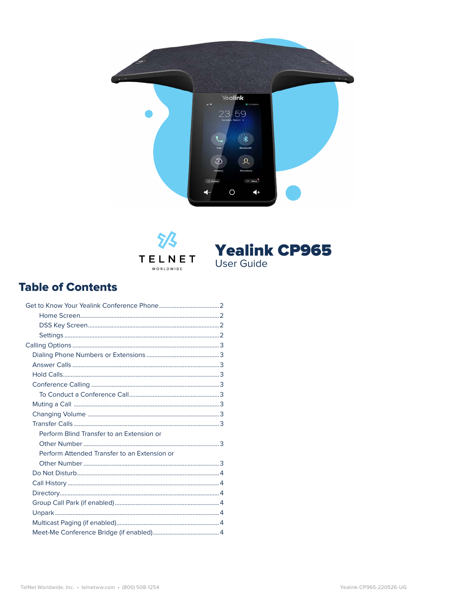





#### **Table of Contents**

| Perform Blind Transfer to an Extension or    |  |
|----------------------------------------------|--|
|                                              |  |
| Perform Attended Transfer to an Extension or |  |
|                                              |  |
|                                              |  |
|                                              |  |
|                                              |  |
|                                              |  |
|                                              |  |
|                                              |  |
|                                              |  |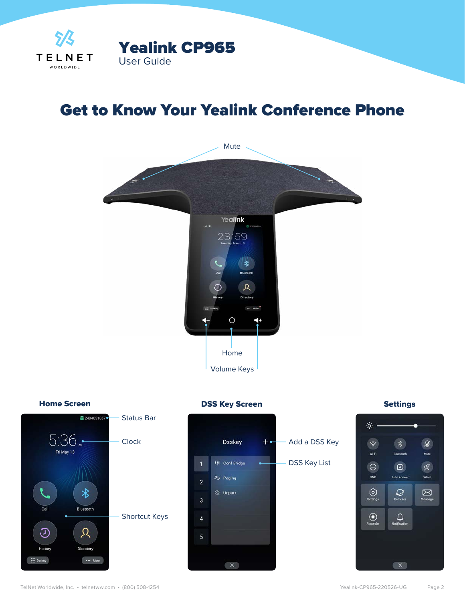<span id="page-1-0"></span>

# Get to Know Your Yealink Conference Phone



#### Home Screen



#### DSS Key Screen



#### **Settings**

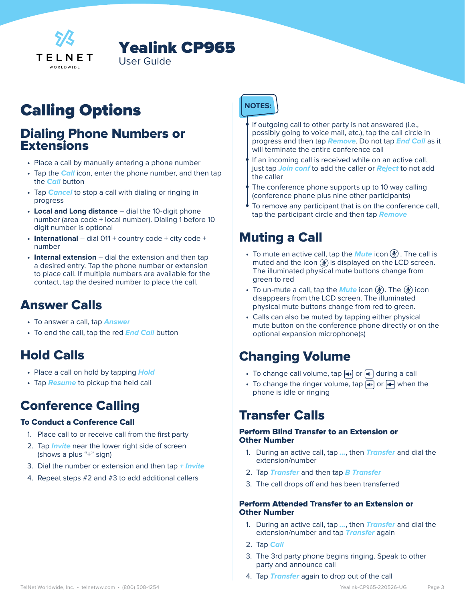<span id="page-2-0"></span>



# Calling Options

#### Dialing Phone Numbers or **Extensions**

- **•** Place a call by manually entering a phone number
- **•** Tap the **Call** icon, enter the phone number, and then tap the **Call** button
- **•** Tap **Cancel** to stop a call with dialing or ringing in progress
- **• Local and Long distance** dial the 10-digit phone number (area code + local number). Dialing 1 before 10 digit number is optional
- **• International** dial 011 + country code + city code + number
- **• Internal extension** dial the extension and then tap a desired entry. Tap the phone number or extension to place call. If multiple numbers are available for the contact, tap the desired number to place the call.

#### Answer Calls

- **•** To answer a call, tap **Answer**
- **•** To end the call, tap the red **End Call** button

### Hold Calls

- **•** Place a call on hold by tapping **Hold**
- **•** Tap **Resume** to pickup the held call

#### Conference Calling

#### To Conduct a Conference Call

- 1. Place call to or receive call from the first party
- 2. Tap **Invite** near the lower right side of screen (shows a plus "+" sign)
- 3. Dial the number or extension and then tap **+ Invite**
- 4. Repeat steps #2 and #3 to add additional callers

#### **NOTES:**

**•** If outgoing call to other party is not answered (i.e., possibly going to voice mail, etc.), tap the call circle in progress and then tap **Remove**. Do not tap **End Call** as it will terminate the entire conference call

- **•** If an incoming call is received while on an active call, just tap **Join conf** to add the caller or **Reject** to not add the caller
- **•** The conference phone supports up to 10 way calling (conference phone plus nine other participants)
- **•** To remove any participant that is on the conference call, tap the participant circle and then tap **Remove**

### Muting a Call

- To mute an active call, tap the **Mute** icon  $(\ell)$  . The call is muted and the icon  $\circledast$  is displayed on the LCD screen. The illuminated physical mute buttons change from green to red
- To un-mute a call, tap the **Mute** icon  $(\ell)$ . The  $(\ell)$  icon disappears from the LCD screen. The illuminated physical mute buttons change from red to green.
- **•** Calls can also be muted by tapping either physical mute button on the conference phone directly or on the optional expansion microphone(s)

#### Changing Volume

- To change call volume, tap  $\left| \bullet \right|$  or  $\left| \bullet \right|$  during a call
- To change the ringer volume, tap  $\overline{A}$  or  $\overline{A}$  when the phone is idle or ringing

### Transfer Calls

#### Perform Blind Transfer to an Extension or Other Number

- 1. During an active call, tap **...**, then **Transfer** and dial the extension/number
- 2. Tap **Transfer** and then tap **B Transfer**
- 3. The call drops off and has been transferred

#### Perform Attended Transfer to an Extension or Other Number

- 1. During an active call, tap **...**, then **Transfer** and dial the extension/number and tap **Transfer** again
- 2. Tap **Call**
- 3. The 3rd party phone begins ringing. Speak to other party and announce call
- 4. Tap **Transfer** again to drop out of the call